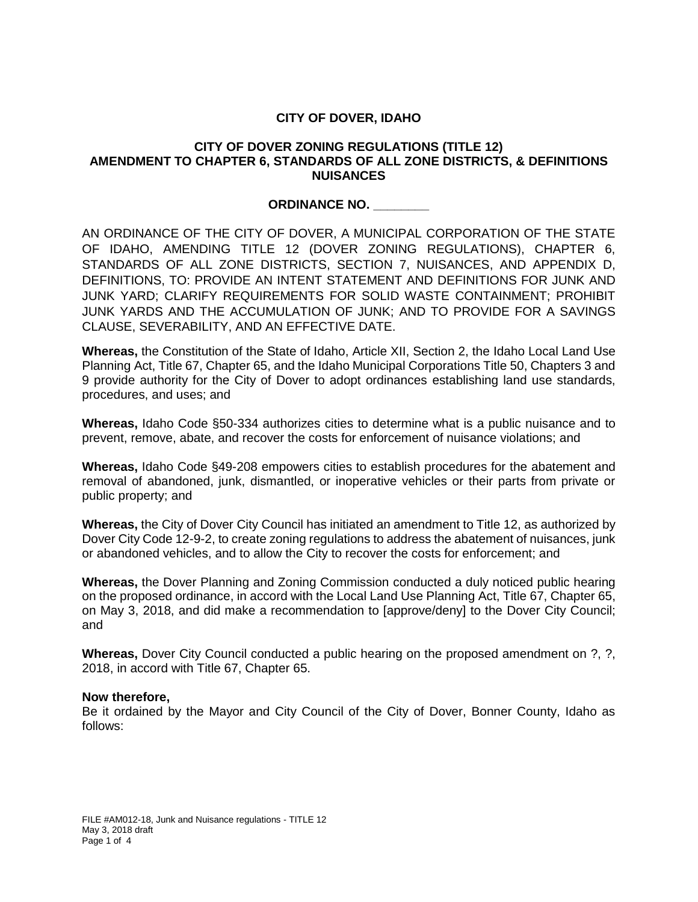## **CITY OF DOVER, IDAHO**

### **CITY OF DOVER ZONING REGULATIONS (TITLE 12) AMENDMENT TO CHAPTER 6, STANDARDS OF ALL ZONE DISTRICTS, & DEFINITIONS NUISANCES**

#### **ORDINANCE NO. \_\_\_\_\_\_\_\_**

AN ORDINANCE OF THE CITY OF DOVER, A MUNICIPAL CORPORATION OF THE STATE OF IDAHO, AMENDING TITLE 12 (DOVER ZONING REGULATIONS), CHAPTER 6, STANDARDS OF ALL ZONE DISTRICTS, SECTION 7, NUISANCES, AND APPENDIX D, DEFINITIONS, TO: PROVIDE AN INTENT STATEMENT AND DEFINITIONS FOR JUNK AND JUNK YARD; CLARIFY REQUIREMENTS FOR SOLID WASTE CONTAINMENT; PROHIBIT JUNK YARDS AND THE ACCUMULATION OF JUNK; AND TO PROVIDE FOR A SAVINGS CLAUSE, SEVERABILITY, AND AN EFFECTIVE DATE.

**Whereas,** the Constitution of the State of Idaho, Article XII, Section 2, the Idaho Local Land Use Planning Act, Title 67, Chapter 65, and the Idaho Municipal Corporations Title 50, Chapters 3 and 9 provide authority for the City of Dover to adopt ordinances establishing land use standards, procedures, and uses; and

**Whereas,** Idaho Code §50-334 authorizes cities to determine what is a public nuisance and to prevent, remove, abate, and recover the costs for enforcement of nuisance violations; and

**Whereas,** Idaho Code §49-208 empowers cities to establish procedures for the abatement and removal of abandoned, junk, dismantled, or inoperative vehicles or their parts from private or public property; and

**Whereas,** the City of Dover City Council has initiated an amendment to Title 12, as authorized by Dover City Code 12-9-2, to create zoning regulations to address the abatement of nuisances, junk or abandoned vehicles, and to allow the City to recover the costs for enforcement; and

**Whereas,** the Dover Planning and Zoning Commission conducted a duly noticed public hearing on the proposed ordinance, in accord with the Local Land Use Planning Act, Title 67, Chapter 65, on May 3, 2018, and did make a recommendation to [approve/deny] to the Dover City Council; and

**Whereas,** Dover City Council conducted a public hearing on the proposed amendment on ?, ?, 2018, in accord with Title 67, Chapter 65.

#### **Now therefore,**

Be it ordained by the Mayor and City Council of the City of Dover, Bonner County, Idaho as follows: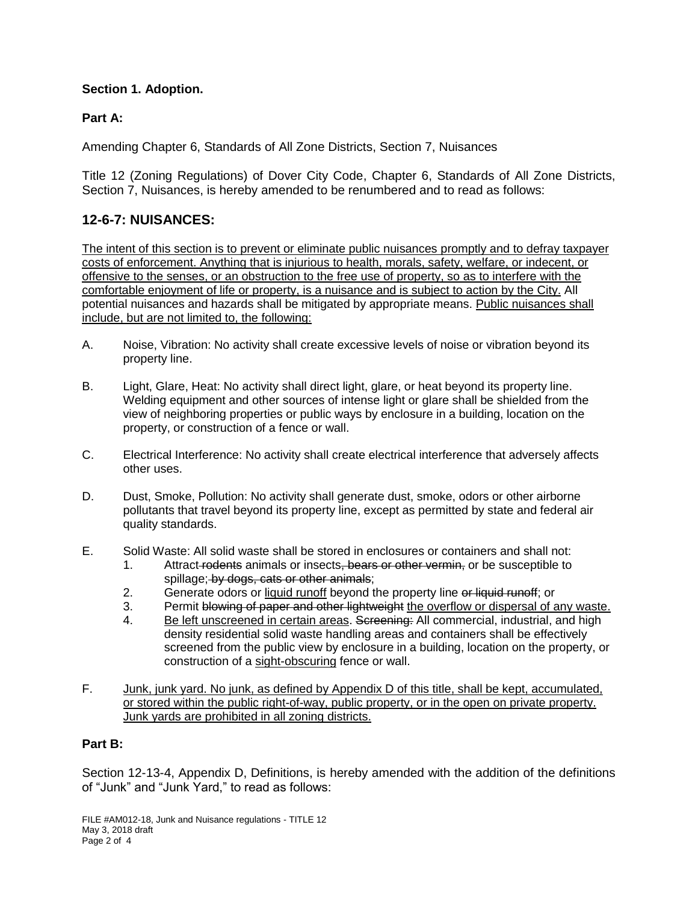# **Section 1. Adoption.**

# **Part A:**

Amending Chapter 6, Standards of All Zone Districts, Section 7, Nuisances

Title 12 (Zoning Regulations) of Dover City Code, Chapter 6, Standards of All Zone Districts, Section 7, Nuisances, is hereby amended to be renumbered and to read as follows:

# **12-6-7: NUISANCES:**

The intent of this section is to prevent or eliminate public nuisances promptly and to defray taxpayer costs of enforcement. Anything that is injurious to health, morals, safety, welfare, or indecent, or offensive to the senses, or an obstruction to the free use of property, so as to interfere with the comfortable enjoyment of life or property, is a nuisance and is subject to action by the City. All potential nuisances and hazards shall be mitigated by appropriate means. Public nuisances shall include, but are not limited to, the following:

- A. Noise, Vibration: No activity shall create excessive levels of noise or vibration beyond its property line.
- B. Light, Glare, Heat: No activity shall direct light, glare, or heat beyond its property line. Welding equipment and other sources of intense light or glare shall be shielded from the view of neighboring properties or public ways by enclosure in a building, location on the property, or construction of a fence or wall.
- C. Electrical Interference: No activity shall create electrical interference that adversely affects other uses.
- D. Dust, Smoke, Pollution: No activity shall generate dust, smoke, odors or other airborne pollutants that travel beyond its property line, except as permitted by state and federal air quality standards.
- E. Solid Waste: All solid waste shall be stored in enclosures or containers and shall not:
	- 1. Attract redents animals or insects, bears or other vermin, or be susceptible to spillage; by dogs, cats or other animals;
	- 2. Generate odors or liquid runoff beyond the property line or liquid runoff; or
	- 3. Permit blowing of paper and other lightweight the overflow or dispersal of any waste.
	- 4. Be left unscreened in certain areas. Screening: All commercial, industrial, and high density residential solid waste handling areas and containers shall be effectively screened from the public view by enclosure in a building, location on the property, or construction of a sight-obscuring fence or wall.
- F. Junk, junk yard. No junk, as defined by Appendix D of this title, shall be kept, accumulated, or stored within the public right-of-way, public property, or in the open on private property. Junk yards are prohibited in all zoning districts.

### **Part B:**

Section 12-13-4, Appendix D, Definitions, is hereby amended with the addition of the definitions of "Junk" and "Junk Yard," to read as follows: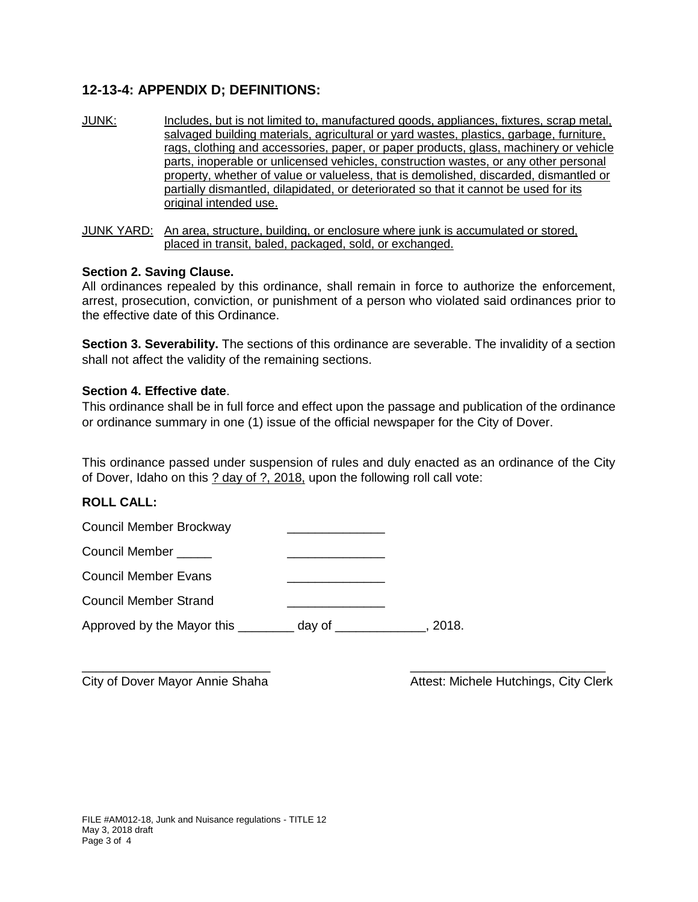# **12-13-4: APPENDIX D; DEFINITIONS:**

JUNK: Includes, but is not limited to, manufactured goods, appliances, fixtures, scrap metal, salvaged building materials, agricultural or yard wastes, plastics, garbage, furniture, rags, clothing and accessories, paper, or paper products, glass, machinery or vehicle parts, inoperable or unlicensed vehicles, construction wastes, or any other personal property, whether of value or valueless, that is demolished, discarded, dismantled or partially dismantled, dilapidated, or deteriorated so that it cannot be used for its original intended use.

JUNK YARD: An area, structure, building, or enclosure where junk is accumulated or stored, placed in transit, baled, packaged, sold, or exchanged.

#### **Section 2. Saving Clause.**

All ordinances repealed by this ordinance, shall remain in force to authorize the enforcement, arrest, prosecution, conviction, or punishment of a person who violated said ordinances prior to the effective date of this Ordinance.

**Section 3. Severability.** The sections of this ordinance are severable. The invalidity of a section shall not affect the validity of the remaining sections.

#### **Section 4. Effective date**.

This ordinance shall be in full force and effect upon the passage and publication of the ordinance or ordinance summary in one (1) issue of the official newspaper for the City of Dover.

This ordinance passed under suspension of rules and duly enacted as an ordinance of the City of Dover, Idaho on this ? day of ?, 2018, upon the following roll call vote:

\_\_\_\_\_\_\_\_\_\_\_\_\_\_\_\_\_\_\_\_\_\_\_\_\_\_\_ \_\_\_\_\_\_\_\_\_\_\_\_\_\_\_\_\_\_\_\_\_\_\_\_\_\_\_\_

### **ROLL CALL:**

| Council Member Brockway           |        |       |
|-----------------------------------|--------|-------|
| Council Member                    |        |       |
| <b>Council Member Evans</b>       |        |       |
| <b>Council Member Strand</b>      |        |       |
| Approved by the Mayor this ______ | day of | 2018. |

City of Dover Mayor Annie Shaha Attest: Michele Hutchings, City Clerk